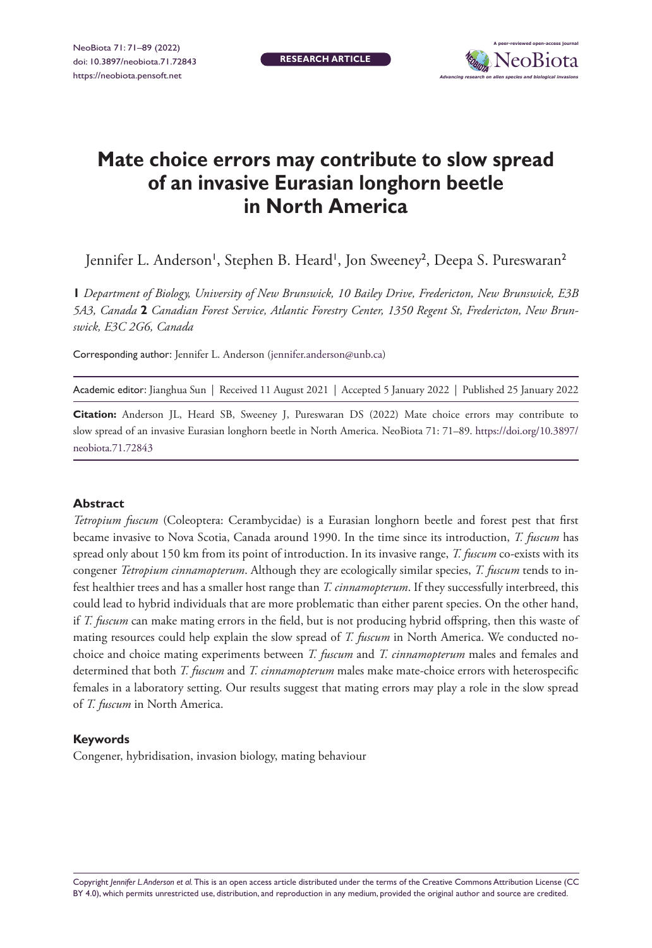**RESEARCH ARTICLE**



# **Mate choice errors may contribute to slow spread of an invasive Eurasian longhorn beetle in North America**

Jennifer L. Anderson', Stephen B. Heard', Jon Sweeney<sup>2</sup>, Deepa S. Pureswaran<sup>2</sup>

**1** *Department of Biology, University of New Brunswick, 10 Bailey Drive, Fredericton, New Brunswick, E3B 5A3, Canada* **2** *Canadian Forest Service, Atlantic Forestry Center, 1350 Regent St, Fredericton, New Brunswick, E3C 2G6, Canada*

Corresponding author: Jennifer L. Anderson [\(jennifer.anderson@unb.ca](mailto:jennifer.anderson@unb.ca))

Academic editor: Jianghua Sun | Received 11 August 2021 | Accepted 5 January 2022 | Published 25 January 2022

**Citation:** Anderson JL, Heard SB, Sweeney J, Pureswaran DS (2022) Mate choice errors may contribute to slow spread of an invasive Eurasian longhorn beetle in North America. NeoBiota 71: 71–89. [https://doi.org/10.3897/](https://doi.org/10.3897/neobiota.71.72843) [neobiota.71.72843](https://doi.org/10.3897/neobiota.71.72843)

#### **Abstract**

*Tetropium fuscum* (Coleoptera: Cerambycidae) is a Eurasian longhorn beetle and forest pest that first became invasive to Nova Scotia, Canada around 1990. In the time since its introduction, *T. fuscum* has spread only about 150 km from its point of introduction. In its invasive range, *T. fuscum* co-exists with its congener *Tetropium cinnamopterum*. Although they are ecologically similar species, *T. fuscum* tends to infest healthier trees and has a smaller host range than *T. cinnamopterum*. If they successfully interbreed, this could lead to hybrid individuals that are more problematic than either parent species. On the other hand, if *T. fuscum* can make mating errors in the field, but is not producing hybrid offspring, then this waste of mating resources could help explain the slow spread of *T. fuscum* in North America. We conducted nochoice and choice mating experiments between *T. fuscum* and *T. cinnamopterum* males and females and determined that both *T. fuscum* and *T. cinnamopterum* males make mate-choice errors with heterospecific females in a laboratory setting. Our results suggest that mating errors may play a role in the slow spread of *T. fuscum* in North America.

#### **Keywords**

Congener, hybridisation, invasion biology, mating behaviour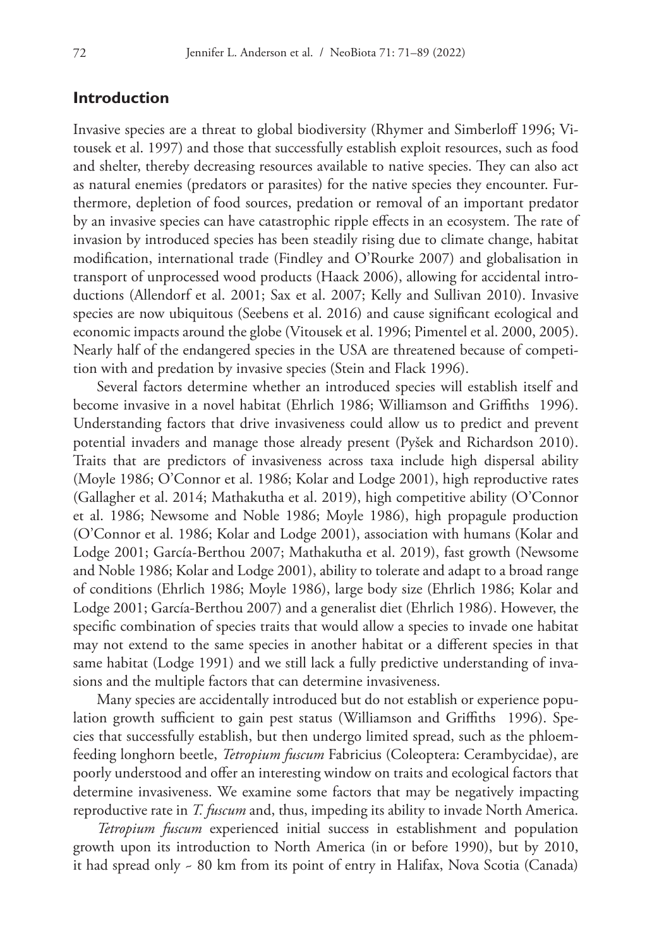# **Introduction**

Invasive species are a threat to global biodiversity (Rhymer and Simberloff 1996; Vitousek et al. 1997) and those that successfully establish exploit resources, such as food and shelter, thereby decreasing resources available to native species. They can also act as natural enemies (predators or parasites) for the native species they encounter. Furthermore, depletion of food sources, predation or removal of an important predator by an invasive species can have catastrophic ripple effects in an ecosystem. The rate of invasion by introduced species has been steadily rising due to climate change, habitat modification, international trade (Findley and O'Rourke 2007) and globalisation in transport of unprocessed wood products (Haack 2006), allowing for accidental introductions (Allendorf et al. 2001; Sax et al. 2007; Kelly and Sullivan 2010). Invasive species are now ubiquitous (Seebens et al. 2016) and cause significant ecological and economic impacts around the globe (Vitousek et al. 1996; Pimentel et al. 2000, 2005). Nearly half of the endangered species in the USA are threatened because of competition with and predation by invasive species (Stein and Flack 1996).

Several factors determine whether an introduced species will establish itself and become invasive in a novel habitat (Ehrlich 1986; Williamson and Griffiths 1996). Understanding factors that drive invasiveness could allow us to predict and prevent potential invaders and manage those already present (Pyšek and Richardson 2010). Traits that are predictors of invasiveness across taxa include high dispersal ability (Moyle 1986; O'Connor et al. 1986; Kolar and Lodge 2001), high reproductive rates (Gallagher et al. 2014; Mathakutha et al. 2019), high competitive ability (O'Connor et al. 1986; Newsome and Noble 1986; Moyle 1986), high propagule production (O'Connor et al. 1986; Kolar and Lodge 2001), association with humans (Kolar and Lodge 2001; García-Berthou 2007; Mathakutha et al. 2019), fast growth (Newsome and Noble 1986; Kolar and Lodge 2001), ability to tolerate and adapt to a broad range of conditions (Ehrlich 1986; Moyle 1986), large body size (Ehrlich 1986; Kolar and Lodge 2001; García-Berthou 2007) and a generalist diet (Ehrlich 1986). However, the specific combination of species traits that would allow a species to invade one habitat may not extend to the same species in another habitat or a different species in that same habitat (Lodge 1991) and we still lack a fully predictive understanding of invasions and the multiple factors that can determine invasiveness.

Many species are accidentally introduced but do not establish or experience population growth sufficient to gain pest status (Williamson and Griffiths 1996). Species that successfully establish, but then undergo limited spread, such as the phloemfeeding longhorn beetle, *Tetropium fuscum* Fabricius (Coleoptera: Cerambycidae), are poorly understood and offer an interesting window on traits and ecological factors that determine invasiveness. We examine some factors that may be negatively impacting reproductive rate in *T. fuscum* and, thus, impeding its ability to invade North America.

*Tetropium fuscum* experienced initial success in establishment and population growth upon its introduction to North America (in or before 1990), but by 2010, it had spread only ~ 80 km from its point of entry in Halifax, Nova Scotia (Canada)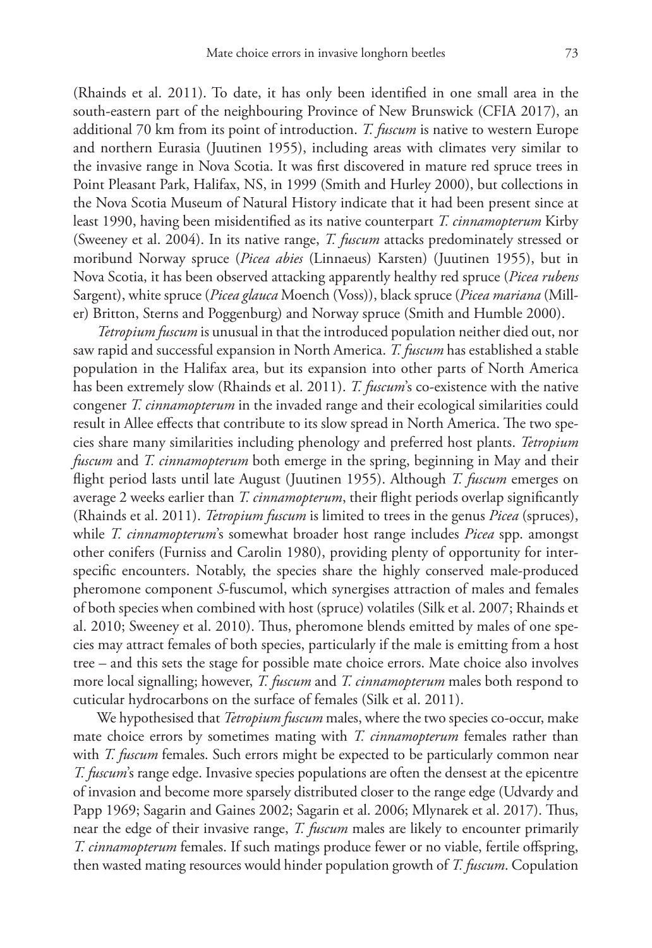(Rhainds et al. 2011). To date, it has only been identified in one small area in the south-eastern part of the neighbouring Province of New Brunswick (CFIA 2017), an additional 70 km from its point of introduction. *T. fuscum* is native to western Europe and northern Eurasia (Juutinen 1955), including areas with climates very similar to the invasive range in Nova Scotia. It was first discovered in mature red spruce trees in Point Pleasant Park, Halifax, NS, in 1999 (Smith and Hurley 2000), but collections in the Nova Scotia Museum of Natural History indicate that it had been present since at least 1990, having been misidentified as its native counterpart *T. cinnamopterum* Kirby (Sweeney et al. 2004). In its native range, *T. fuscum* attacks predominately stressed or moribund Norway spruce (*Picea abies* (Linnaeus) Karsten) (Juutinen 1955), but in Nova Scotia, it has been observed attacking apparently healthy red spruce (*Picea rubens* Sargent), white spruce (*Picea glauca* Moench (Voss)), black spruce (*Picea mariana* (Miller) Britton, Sterns and Poggenburg) and Norway spruce (Smith and Humble 2000).

*Tetropium fuscum* is unusual in that the introduced population neither died out, nor saw rapid and successful expansion in North America. *T. fuscum* has established a stable population in the Halifax area, but its expansion into other parts of North America has been extremely slow (Rhainds et al. 2011). *T. fuscum*'s co-existence with the native congener *T. cinnamopterum* in the invaded range and their ecological similarities could result in Allee effects that contribute to its slow spread in North America. The two species share many similarities including phenology and preferred host plants. *Tetropium fuscum* and *T. cinnamopterum* both emerge in the spring, beginning in May and their flight period lasts until late August (Juutinen 1955). Although *T. fuscum* emerges on average 2 weeks earlier than *T. cinnamopterum*, their flight periods overlap significantly (Rhainds et al. 2011). *Tetropium fuscum* is limited to trees in the genus *Picea* (spruces), while *T. cinnamopterum*'s somewhat broader host range includes *Picea* spp. amongst other conifers (Furniss and Carolin 1980), providing plenty of opportunity for interspecific encounters. Notably, the species share the highly conserved male-produced pheromone component *S*-fuscumol, which synergises attraction of males and females of both species when combined with host (spruce) volatiles (Silk et al. 2007; Rhainds et al. 2010; Sweeney et al. 2010). Thus, pheromone blends emitted by males of one species may attract females of both species, particularly if the male is emitting from a host tree – and this sets the stage for possible mate choice errors. Mate choice also involves more local signalling; however, *T. fuscum* and *T. cinnamopterum* males both respond to cuticular hydrocarbons on the surface of females (Silk et al. 2011).

We hypothesised that *Tetropium fuscum* males, where the two species co-occur, make mate choice errors by sometimes mating with *T. cinnamopterum* females rather than with *T. fuscum* females. Such errors might be expected to be particularly common near *T. fuscum*'s range edge. Invasive species populations are often the densest at the epicentre of invasion and become more sparsely distributed closer to the range edge (Udvardy and Papp 1969; Sagarin and Gaines 2002; Sagarin et al. 2006; Mlynarek et al. 2017). Thus, near the edge of their invasive range, *T. fuscum* males are likely to encounter primarily *T. cinnamopterum* females. If such matings produce fewer or no viable, fertile offspring, then wasted mating resources would hinder population growth of *T. fuscum*. Copulation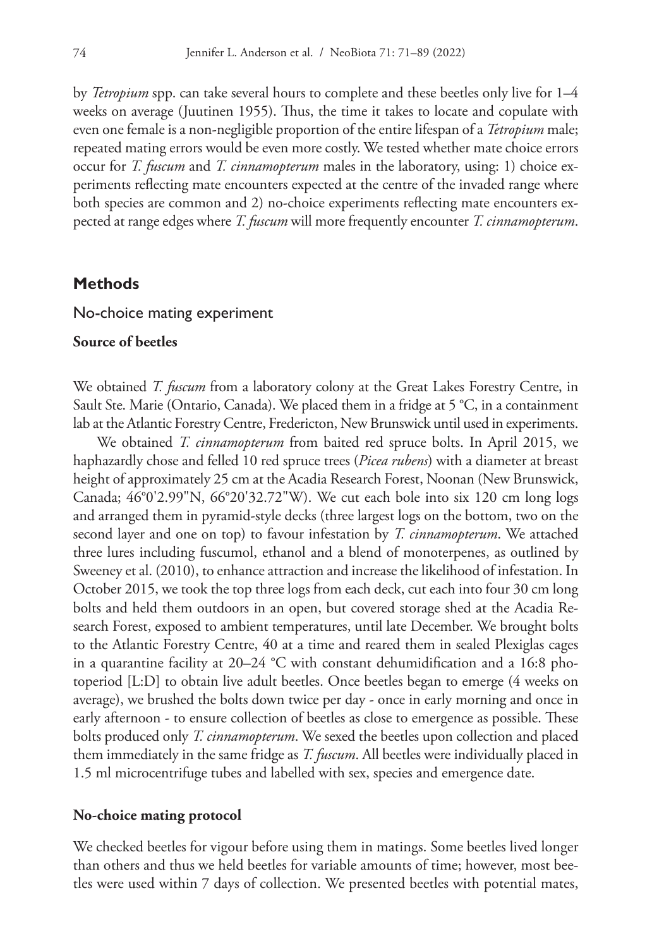by *Tetropium* spp. can take several hours to complete and these beetles only live for 1–4 weeks on average (Juutinen 1955). Thus, the time it takes to locate and copulate with even one female is a non-negligible proportion of the entire lifespan of a *Tetropium* male; repeated mating errors would be even more costly. We tested whether mate choice errors occur for *T. fuscum* and *T. cinnamopterum* males in the laboratory, using: 1) choice experiments reflecting mate encounters expected at the centre of the invaded range where both species are common and 2) no-choice experiments reflecting mate encounters expected at range edges where *T. fuscum* will more frequently encounter *T. cinnamopterum*.

# **Methods**

#### No-choice mating experiment

# **Source of beetles**

We obtained *T. fuscum* from a laboratory colony at the Great Lakes Forestry Centre, in Sault Ste. Marie (Ontario, Canada). We placed them in a fridge at 5 °C, in a containment lab at the Atlantic Forestry Centre, Fredericton, New Brunswick until used in experiments.

We obtained *T. cinnamopterum* from baited red spruce bolts. In April 2015, we haphazardly chose and felled 10 red spruce trees (*Picea rubens*) with a diameter at breast height of approximately 25 cm at the Acadia Research Forest, Noonan (New Brunswick, Canada; 46°0'2.99"N, 66°20'32.72"W). We cut each bole into six 120 cm long logs and arranged them in pyramid-style decks (three largest logs on the bottom, two on the second layer and one on top) to favour infestation by *T. cinnamopterum*. We attached three lures including fuscumol, ethanol and a blend of monoterpenes, as outlined by Sweeney et al. (2010), to enhance attraction and increase the likelihood of infestation. In October 2015, we took the top three logs from each deck, cut each into four 30 cm long bolts and held them outdoors in an open, but covered storage shed at the Acadia Research Forest, exposed to ambient temperatures, until late December. We brought bolts to the Atlantic Forestry Centre, 40 at a time and reared them in sealed Plexiglas cages in a quarantine facility at 20–24 °C with constant dehumidification and a 16:8 photoperiod [L:D] to obtain live adult beetles. Once beetles began to emerge (4 weeks on average), we brushed the bolts down twice per day - once in early morning and once in early afternoon - to ensure collection of beetles as close to emergence as possible. These bolts produced only *T. cinnamopterum*. We sexed the beetles upon collection and placed them immediately in the same fridge as *T. fuscum*. All beetles were individually placed in 1.5 ml microcentrifuge tubes and labelled with sex, species and emergence date.

#### **No-choice mating protocol**

We checked beetles for vigour before using them in matings. Some beetles lived longer than others and thus we held beetles for variable amounts of time; however, most beetles were used within 7 days of collection. We presented beetles with potential mates,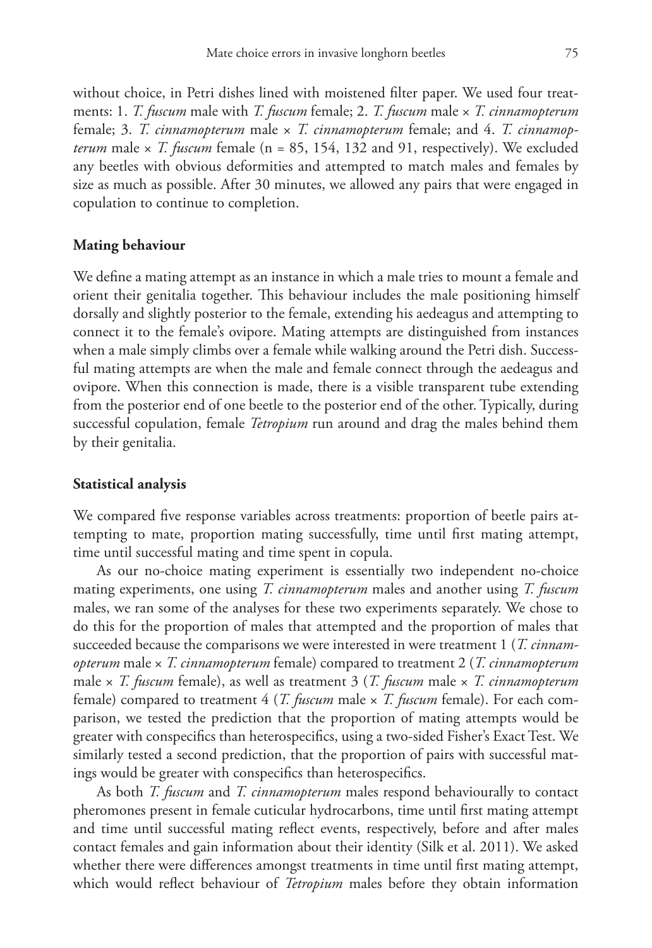without choice, in Petri dishes lined with moistened filter paper. We used four treatments: 1. *T. fuscum* male with *T. fuscum* female; 2. *T. fuscum* male × *T. cinnamopterum* female; 3. *T. cinnamopterum* male × *T. cinnamopterum* female; and 4. *T. cinnamopterum* male  $\times$  *T. fuscum* female (n = 85, 154, 132 and 91, respectively). We excluded any beetles with obvious deformities and attempted to match males and females by size as much as possible. After 30 minutes, we allowed any pairs that were engaged in copulation to continue to completion.

#### **Mating behaviour**

We define a mating attempt as an instance in which a male tries to mount a female and orient their genitalia together. This behaviour includes the male positioning himself dorsally and slightly posterior to the female, extending his aedeagus and attempting to connect it to the female's ovipore. Mating attempts are distinguished from instances when a male simply climbs over a female while walking around the Petri dish. Successful mating attempts are when the male and female connect through the aedeagus and ovipore. When this connection is made, there is a visible transparent tube extending from the posterior end of one beetle to the posterior end of the other. Typically, during successful copulation, female *Tetropium* run around and drag the males behind them by their genitalia.

## **Statistical analysis**

We compared five response variables across treatments: proportion of beetle pairs attempting to mate, proportion mating successfully, time until first mating attempt, time until successful mating and time spent in copula.

As our no-choice mating experiment is essentially two independent no-choice mating experiments, one using *T. cinnamopterum* males and another using *T. fuscum* males, we ran some of the analyses for these two experiments separately. We chose to do this for the proportion of males that attempted and the proportion of males that succeeded because the comparisons we were interested in were treatment 1 (*T. cinnamopterum* male × *T. cinnamopterum* female) compared to treatment 2 (*T. cinnamopterum* male × *T. fuscum* female), as well as treatment 3 (*T. fuscum* male × *T. cinnamopterum* female) compared to treatment 4 (*T. fuscum* male × *T. fuscum* female). For each comparison, we tested the prediction that the proportion of mating attempts would be greater with conspecifics than heterospecifics, using a two-sided Fisher's Exact Test. We similarly tested a second prediction, that the proportion of pairs with successful matings would be greater with conspecifics than heterospecifics.

As both *T. fuscum* and *T. cinnamopterum* males respond behaviourally to contact pheromones present in female cuticular hydrocarbons, time until first mating attempt and time until successful mating reflect events, respectively, before and after males contact females and gain information about their identity (Silk et al. 2011). We asked whether there were differences amongst treatments in time until first mating attempt, which would reflect behaviour of *Tetropium* males before they obtain information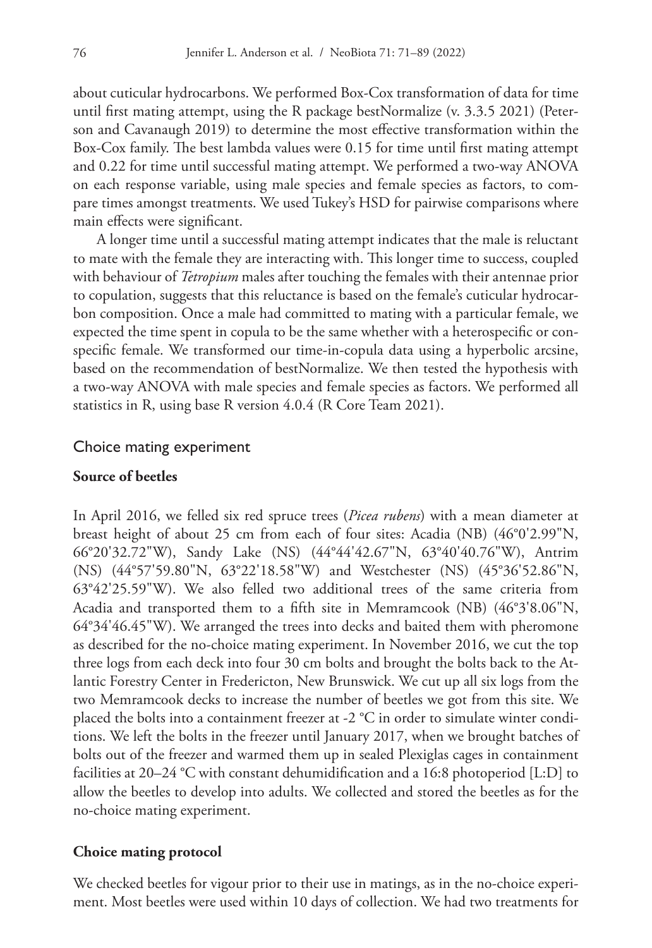about cuticular hydrocarbons. We performed Box-Cox transformation of data for time until first mating attempt, using the R package bestNormalize (v. 3.3.5 2021) (Peterson and Cavanaugh 2019) to determine the most effective transformation within the Box-Cox family. The best lambda values were 0.15 for time until first mating attempt and 0.22 for time until successful mating attempt. We performed a two-way ANOVA on each response variable, using male species and female species as factors, to compare times amongst treatments. We used Tukey's HSD for pairwise comparisons where main effects were significant.

A longer time until a successful mating attempt indicates that the male is reluctant to mate with the female they are interacting with. This longer time to success, coupled with behaviour of *Tetropium* males after touching the females with their antennae prior to copulation, suggests that this reluctance is based on the female's cuticular hydrocarbon composition. Once a male had committed to mating with a particular female, we expected the time spent in copula to be the same whether with a heterospecific or conspecific female. We transformed our time-in-copula data using a hyperbolic arcsine, based on the recommendation of bestNormalize. We then tested the hypothesis with a two-way ANOVA with male species and female species as factors. We performed all statistics in R, using base R version 4.0.4 (R Core Team 2021).

## Choice mating experiment

# **Source of beetles**

In April 2016, we felled six red spruce trees (*Picea rubens*) with a mean diameter at breast height of about 25 cm from each of four sites: Acadia (NB) (46°0'2.99"N, 66°20'32.72"W), Sandy Lake (NS) (44°44'42.67"N, 63°40'40.76"W), Antrim (NS) (44°57'59.80"N, 63°22'18.58"W) and Westchester (NS) (45°36'52.86"N, 63°42'25.59"W). We also felled two additional trees of the same criteria from Acadia and transported them to a fifth site in Memramcook (NB) (46°3'8.06"N, 64°34'46.45"W). We arranged the trees into decks and baited them with pheromone as described for the no-choice mating experiment. In November 2016, we cut the top three logs from each deck into four 30 cm bolts and brought the bolts back to the Atlantic Forestry Center in Fredericton, New Brunswick. We cut up all six logs from the two Memramcook decks to increase the number of beetles we got from this site. We placed the bolts into a containment freezer at -2 °C in order to simulate winter conditions. We left the bolts in the freezer until January 2017, when we brought batches of bolts out of the freezer and warmed them up in sealed Plexiglas cages in containment facilities at 20–24 °C with constant dehumidification and a 16:8 photoperiod [L:D] to allow the beetles to develop into adults. We collected and stored the beetles as for the no-choice mating experiment.

## **Choice mating protocol**

We checked beetles for vigour prior to their use in matings, as in the no-choice experiment. Most beetles were used within 10 days of collection. We had two treatments for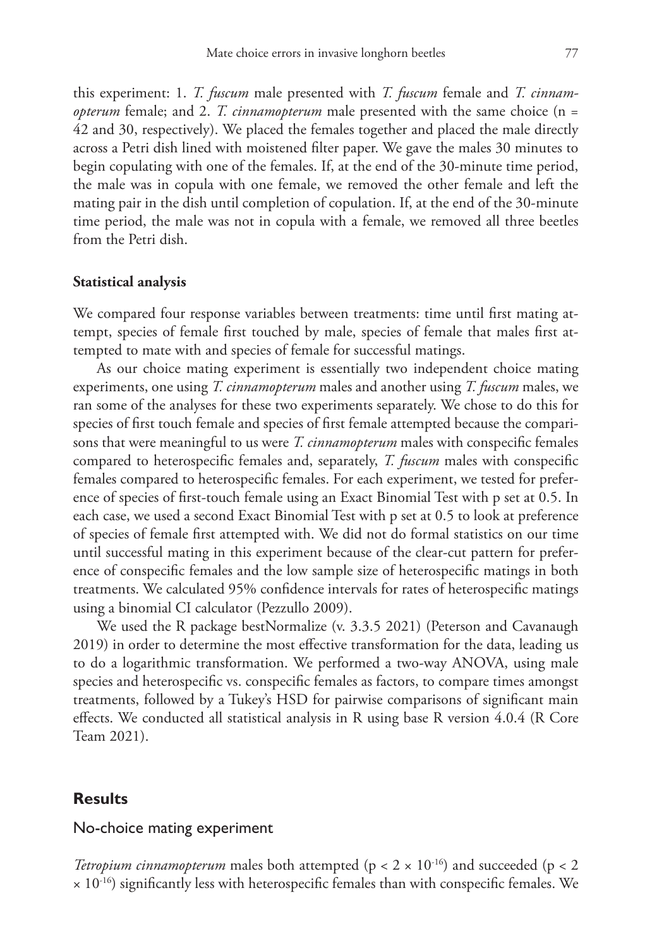this experiment: 1. *T. fuscum* male presented with *T. fuscum* female and *T. cinnamopterum* female; and 2. *T. cinnamopterum* male presented with the same choice (n = 42 and 30, respectively). We placed the females together and placed the male directly across a Petri dish lined with moistened filter paper. We gave the males 30 minutes to begin copulating with one of the females. If, at the end of the 30-minute time period, the male was in copula with one female, we removed the other female and left the mating pair in the dish until completion of copulation. If, at the end of the 30-minute time period, the male was not in copula with a female, we removed all three beetles from the Petri dish.

## **Statistical analysis**

We compared four response variables between treatments: time until first mating attempt, species of female first touched by male, species of female that males first attempted to mate with and species of female for successful matings.

As our choice mating experiment is essentially two independent choice mating experiments, one using *T. cinnamopterum* males and another using *T. fuscum* males, we ran some of the analyses for these two experiments separately. We chose to do this for species of first touch female and species of first female attempted because the comparisons that were meaningful to us were *T. cinnamopterum* males with conspecific females compared to heterospecific females and, separately, *T. fuscum* males with conspecific females compared to heterospecific females. For each experiment, we tested for preference of species of first-touch female using an Exact Binomial Test with p set at 0.5. In each case, we used a second Exact Binomial Test with p set at 0.5 to look at preference of species of female first attempted with. We did not do formal statistics on our time until successful mating in this experiment because of the clear-cut pattern for preference of conspecific females and the low sample size of heterospecific matings in both treatments. We calculated 95% confidence intervals for rates of heterospecific matings using a binomial CI calculator (Pezzullo 2009).

We used the R package bestNormalize (v. 3.3.5 2021) (Peterson and Cavanaugh 2019) in order to determine the most effective transformation for the data, leading us to do a logarithmic transformation. We performed a two-way ANOVA, using male species and heterospecific vs. conspecific females as factors, to compare times amongst treatments, followed by a Tukey's HSD for pairwise comparisons of significant main effects. We conducted all statistical analysis in R using base R version 4.0.4 (R Core Team 2021).

# **Results**

# No-choice mating experiment

*Tetropium cinnamopterum* males both attempted ( $p < 2 \times 10^{-16}$ ) and succeeded ( $p < 2$ )  $\times$  10<sup>-16</sup>) significantly less with heterospecific females than with conspecific females. We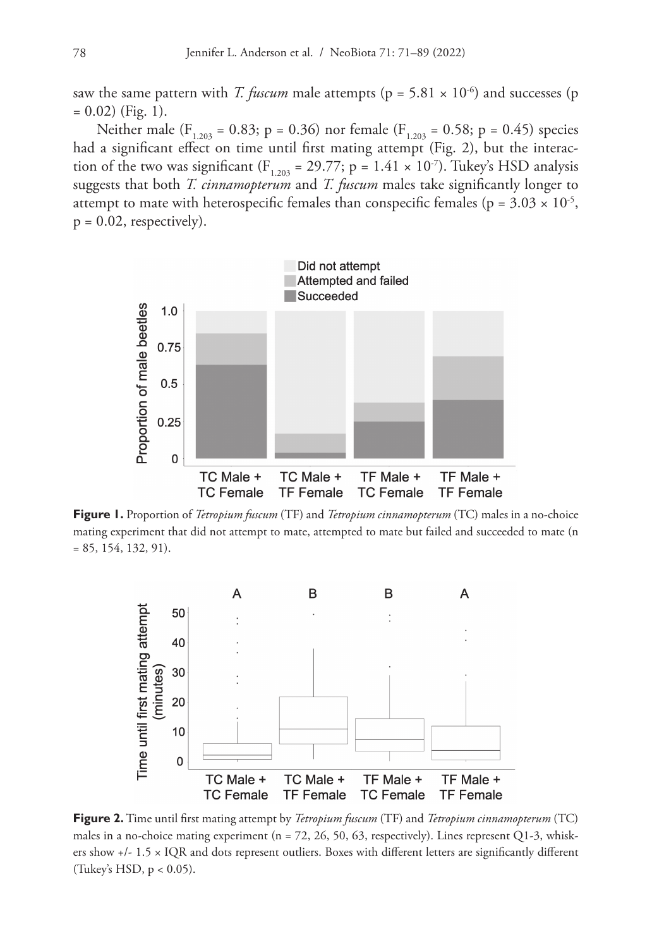saw the same pattern with *T. fuscum* male attempts ( $p = 5.81 \times 10^{-6}$ ) and successes (p  $= 0.02$ ) (Fig. 1).

Neither male ( $F_{1,203} = 0.83$ ; p = 0.36) nor female ( $F_{1,203} = 0.58$ ; p = 0.45) species had a significant effect on time until first mating attempt (Fig. 2), but the interaction of the two was significant ( $F_{1,203} = 29.77$ ; p = 1.41 × 10<sup>-7</sup>). Tukey's HSD analysis suggests that both *T. cinnamopterum* and *T. fuscum* males take significantly longer to attempt to mate with heterospecific females than conspecific females ( $p = 3.03 \times 10^{-5}$ ,  $p = 0.02$ , respectively).



**Figure 1.** Proportion of *Tetropium fuscum* (TF) and *Tetropium cinnamopterum* (TC) males in a no-choice mating experiment that did not attempt to mate, attempted to mate but failed and succeeded to mate (n = 85, 154, 132, 91).



**Figure 2.** Time until first mating attempt by *Tetropium fuscum* (TF) and *Tetropium cinnamopterum* (TC) males in a no-choice mating experiment ( $n = 72, 26, 50, 63$ , respectively). Lines represent Q1-3, whiskers show +/- 1.5 × IQR and dots represent outliers. Boxes with different letters are significantly different (Tukey's HSD,  $p < 0.05$ ).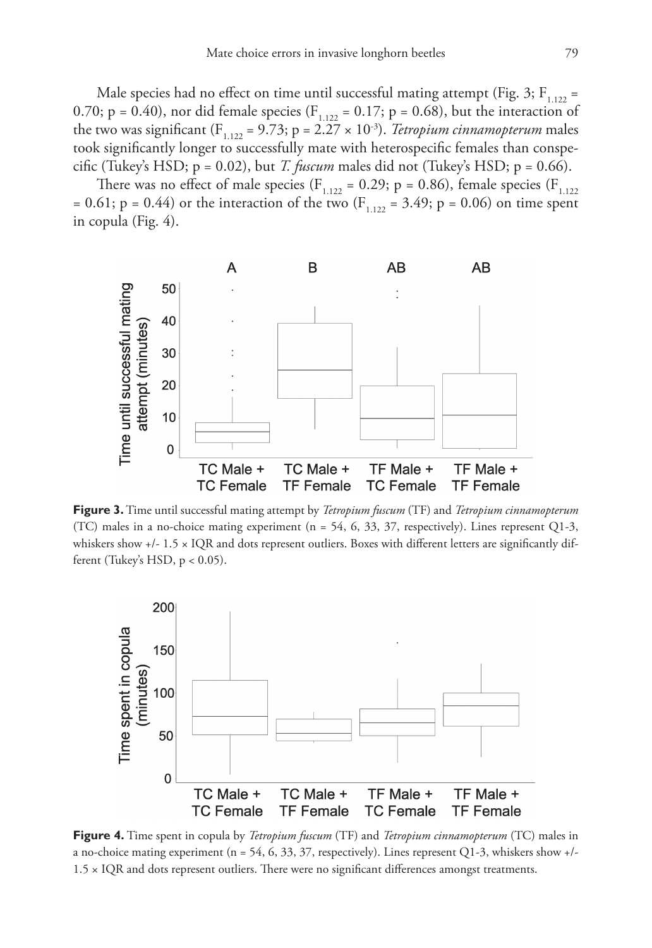Male species had no effect on time until successful mating attempt (Fig. 3;  $F_{1,122} =$ 0.70; p = 0.40), nor did female species ( $F_{1,122} = 0.17$ ; p = 0.68), but the interaction of the two was significant ( $F_{1,122} = 9.73$ ; p = 2.27  $\times$  10<sup>-3</sup>). *Tetropium cinnamopterum* males took significantly longer to successfully mate with heterospecific females than conspecific (Tukey's HSD;  $p = 0.02$ ), but *T. fuscum* males did not (Tukey's HSD;  $p = 0.66$ ).

There was no effect of male species ( $F_{1,122} = 0.29$ ; p = 0.86), female species ( $F_{1,122}$ ) = 0.61; p = 0.44) or the interaction of the two ( $F_{1,122}$  = 3.49; p = 0.06) on time spent in copula (Fig. 4).



**Figure 3.** Time until successful mating attempt by *Tetropium fuscum* (TF) and *Tetropium cinnamopterum* (TC) males in a no-choice mating experiment  $(n = 54, 6, 33, 37,$  respectively). Lines represent O1-3, whiskers show +/- 1.5 × IQR and dots represent outliers. Boxes with different letters are significantly different (Tukey's HSD, p < 0.05).



**Figure 4.** Time spent in copula by *Tetropium fuscum* (TF) and *Tetropium cinnamopterum* (TC) males in a no-choice mating experiment (n = 54, 6, 33, 37, respectively). Lines represent Q1-3, whiskers show  $+/-$ 1.5 × IQR and dots represent outliers. There were no significant differences amongst treatments.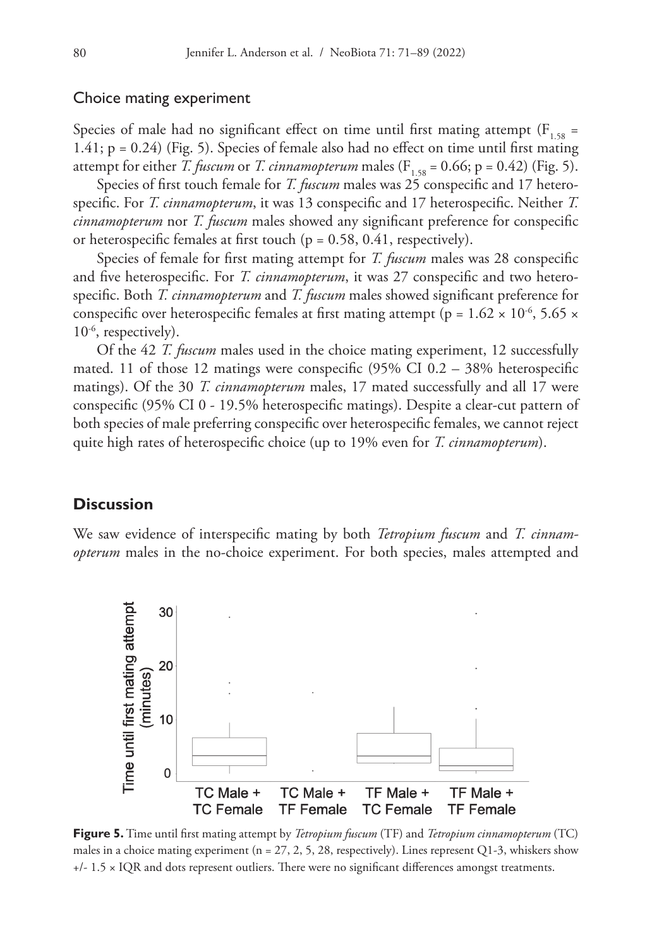#### Choice mating experiment

Species of male had no significant effect on time until first mating attempt ( $F_{1.58}$  = 1.41; p = 0.24) (Fig. 5). Species of female also had no effect on time until first mating attempt for either *T. fuscum* or *T. cinnamopterum* males ( $F_{1.58} = 0.66$ ; p = 0.42) (Fig. 5).

Species of first touch female for *T. fuscum* males was 25 conspecific and 17 heterospecific. For *T. cinnamopterum*, it was 13 conspecific and 17 heterospecific. Neither *T. cinnamopterum* nor *T. fuscum* males showed any significant preference for conspecific or heterospecific females at first touch (p = 0.58, 0.41, respectively).

Species of female for first mating attempt for *T. fuscum* males was 28 conspecific and five heterospecific. For *T. cinnamopterum*, it was 27 conspecific and two heterospecific. Both *T. cinnamopterum* and *T. fuscum* males showed significant preference for conspecific over heterospecific females at first mating attempt (p =  $1.62 \times 10^{-6}$ , 5.65  $\times$ 10-6, respectively).

Of the 42 *T. fuscum* males used in the choice mating experiment, 12 successfully mated. 11 of those 12 matings were conspecific (95% CI 0.2 – 38% heterospecific matings). Of the 30 *T. cinnamopterum* males, 17 mated successfully and all 17 were conspecific (95% CI 0 - 19.5% heterospecific matings). Despite a clear-cut pattern of both species of male preferring conspecific over heterospecific females, we cannot reject quite high rates of heterospecific choice (up to 19% even for *T. cinnamopterum*).

# **Discussion**

We saw evidence of interspecific mating by both *Tetropium fuscum* and *T. cinnamopterum* males in the no-choice experiment. For both species, males attempted and



**Figure 5.** Time until first mating attempt by *Tetropium fuscum* (TF) and *Tetropium cinnamopterum* (TC) males in a choice mating experiment (n = 27, 2, 5, 28, respectively). Lines represent Q1-3, whiskers show +/- 1.5 × IQR and dots represent outliers. There were no significant differences amongst treatments.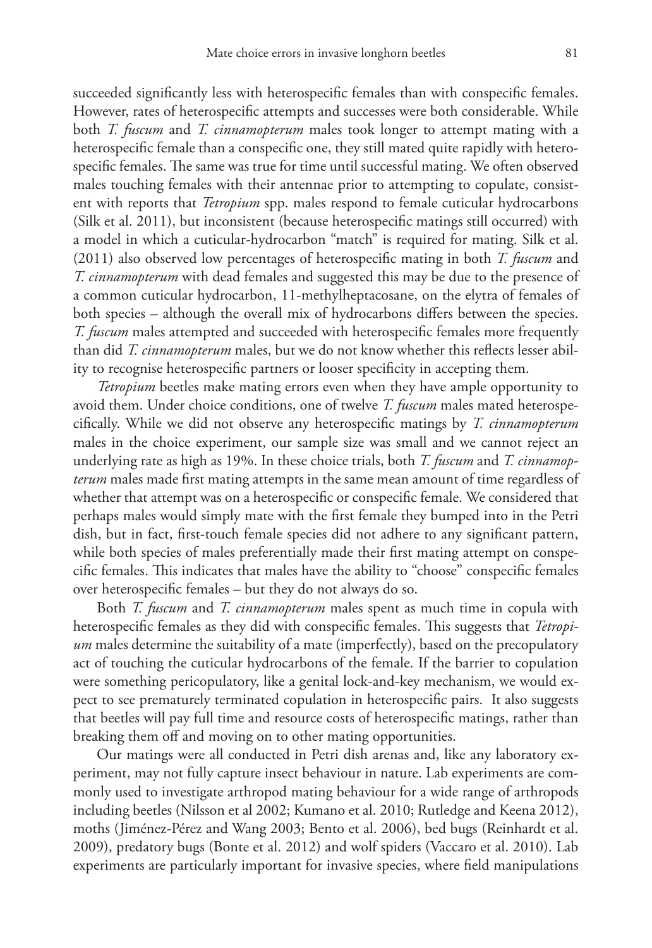succeeded significantly less with heterospecific females than with conspecific females. However, rates of heterospecific attempts and successes were both considerable. While both *T. fuscum* and *T. cinnamopterum* males took longer to attempt mating with a heterospecific female than a conspecific one, they still mated quite rapidly with heterospecific females. The same was true for time until successful mating. We often observed males touching females with their antennae prior to attempting to copulate, consistent with reports that *Tetropium* spp. males respond to female cuticular hydrocarbons (Silk et al. 2011), but inconsistent (because heterospecific matings still occurred) with a model in which a cuticular-hydrocarbon "match" is required for mating. Silk et al. (2011) also observed low percentages of heterospecific mating in both *T. fuscum* and *T. cinnamopterum* with dead females and suggested this may be due to the presence of a common cuticular hydrocarbon, 11-methylheptacosane, on the elytra of females of both species – although the overall mix of hydrocarbons differs between the species. *T. fuscum* males attempted and succeeded with heterospecific females more frequently than did *T. cinnamopterum* males, but we do not know whether this reflects lesser ability to recognise heterospecific partners or looser specificity in accepting them.

*Tetropium* beetles make mating errors even when they have ample opportunity to avoid them. Under choice conditions, one of twelve *T. fuscum* males mated heterospecifically. While we did not observe any heterospecific matings by *T. cinnamopterum* males in the choice experiment, our sample size was small and we cannot reject an underlying rate as high as 19%. In these choice trials, both *T. fuscum* and *T. cinnamopterum* males made first mating attempts in the same mean amount of time regardless of whether that attempt was on a heterospecific or conspecific female. We considered that perhaps males would simply mate with the first female they bumped into in the Petri dish, but in fact, first-touch female species did not adhere to any significant pattern, while both species of males preferentially made their first mating attempt on conspecific females. This indicates that males have the ability to "choose" conspecific females over heterospecific females – but they do not always do so.

Both *T. fuscum* and *T. cinnamopterum* males spent as much time in copula with heterospecific females as they did with conspecific females. This suggests that *Tetropium* males determine the suitability of a mate (imperfectly), based on the precopulatory act of touching the cuticular hydrocarbons of the female. If the barrier to copulation were something pericopulatory, like a genital lock-and-key mechanism, we would expect to see prematurely terminated copulation in heterospecific pairs. It also suggests that beetles will pay full time and resource costs of heterospecific matings, rather than breaking them off and moving on to other mating opportunities.

Our matings were all conducted in Petri dish arenas and, like any laboratory experiment, may not fully capture insect behaviour in nature. Lab experiments are commonly used to investigate arthropod mating behaviour for a wide range of arthropods including beetles (Nilsson et al 2002; Kumano et al. 2010; Rutledge and Keena 2012), moths (Jiménez-Pérez and Wang 2003; Bento et al. 2006), bed bugs (Reinhardt et al. 2009), predatory bugs (Bonte et al. 2012) and wolf spiders (Vaccaro et al. 2010). Lab experiments are particularly important for invasive species, where field manipulations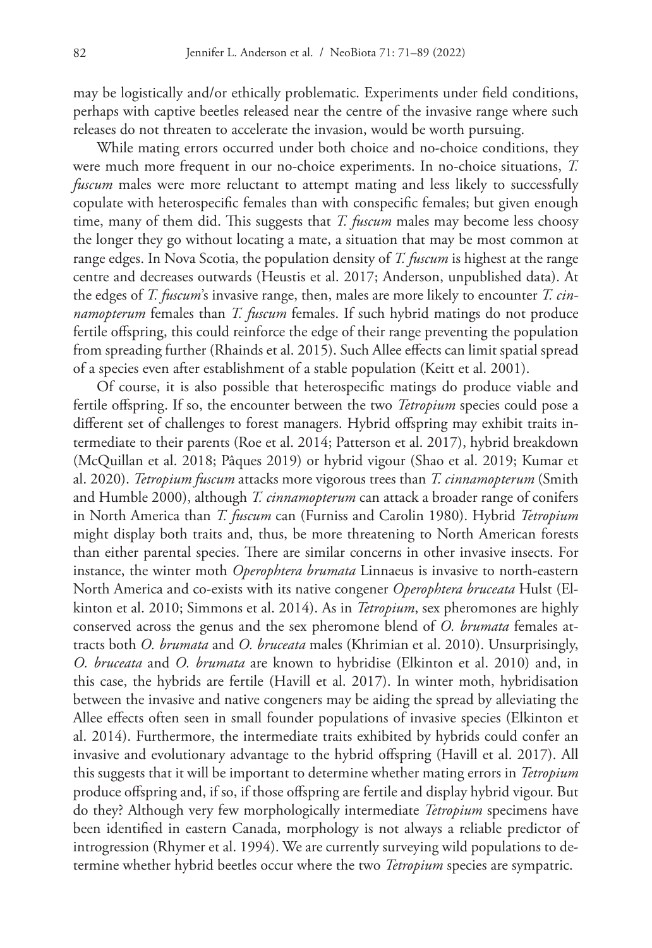may be logistically and/or ethically problematic. Experiments under field conditions, perhaps with captive beetles released near the centre of the invasive range where such releases do not threaten to accelerate the invasion, would be worth pursuing.

While mating errors occurred under both choice and no-choice conditions, they were much more frequent in our no-choice experiments. In no-choice situations, *T. fuscum* males were more reluctant to attempt mating and less likely to successfully copulate with heterospecific females than with conspecific females; but given enough time, many of them did. This suggests that *T. fuscum* males may become less choosy the longer they go without locating a mate, a situation that may be most common at range edges. In Nova Scotia, the population density of *T. fuscum* is highest at the range centre and decreases outwards (Heustis et al. 2017; Anderson, unpublished data). At the edges of *T. fuscum*'s invasive range, then, males are more likely to encounter *T. cinnamopterum* females than *T. fuscum* females. If such hybrid matings do not produce fertile offspring, this could reinforce the edge of their range preventing the population from spreading further (Rhainds et al. 2015). Such Allee effects can limit spatial spread of a species even after establishment of a stable population (Keitt et al. 2001).

Of course, it is also possible that heterospecific matings do produce viable and fertile offspring. If so, the encounter between the two *Tetropium* species could pose a different set of challenges to forest managers. Hybrid offspring may exhibit traits intermediate to their parents (Roe et al. 2014; Patterson et al. 2017), hybrid breakdown (McQuillan et al. 2018; Pâques 2019) or hybrid vigour (Shao et al. 2019; Kumar et al. 2020). *Tetropium fuscum* attacks more vigorous trees than *T. cinnamopterum* (Smith and Humble 2000), although *T. cinnamopterum* can attack a broader range of conifers in North America than *T. fuscum* can (Furniss and Carolin 1980). Hybrid *Tetropium* might display both traits and, thus, be more threatening to North American forests than either parental species. There are similar concerns in other invasive insects. For instance, the winter moth *Operophtera brumata* Linnaeus is invasive to north-eastern North America and co-exists with its native congener *Operophtera bruceata* Hulst (Elkinton et al. 2010; Simmons et al. 2014). As in *Tetropium*, sex pheromones are highly conserved across the genus and the sex pheromone blend of *O. brumata* females attracts both *O. brumata* and *O. bruceata* males (Khrimian et al. 2010). Unsurprisingly, *O. bruceata* and *O. brumata* are known to hybridise (Elkinton et al. 2010) and, in this case, the hybrids are fertile (Havill et al. 2017). In winter moth, hybridisation between the invasive and native congeners may be aiding the spread by alleviating the Allee effects often seen in small founder populations of invasive species (Elkinton et al. 2014). Furthermore, the intermediate traits exhibited by hybrids could confer an invasive and evolutionary advantage to the hybrid offspring (Havill et al. 2017). All this suggests that it will be important to determine whether mating errors in *Tetropium*  produce offspring and, if so, if those offspring are fertile and display hybrid vigour. But do they? Although very few morphologically intermediate *Tetropium* specimens have been identified in eastern Canada, morphology is not always a reliable predictor of introgression (Rhymer et al. 1994). We are currently surveying wild populations to determine whether hybrid beetles occur where the two *Tetropium* species are sympatric.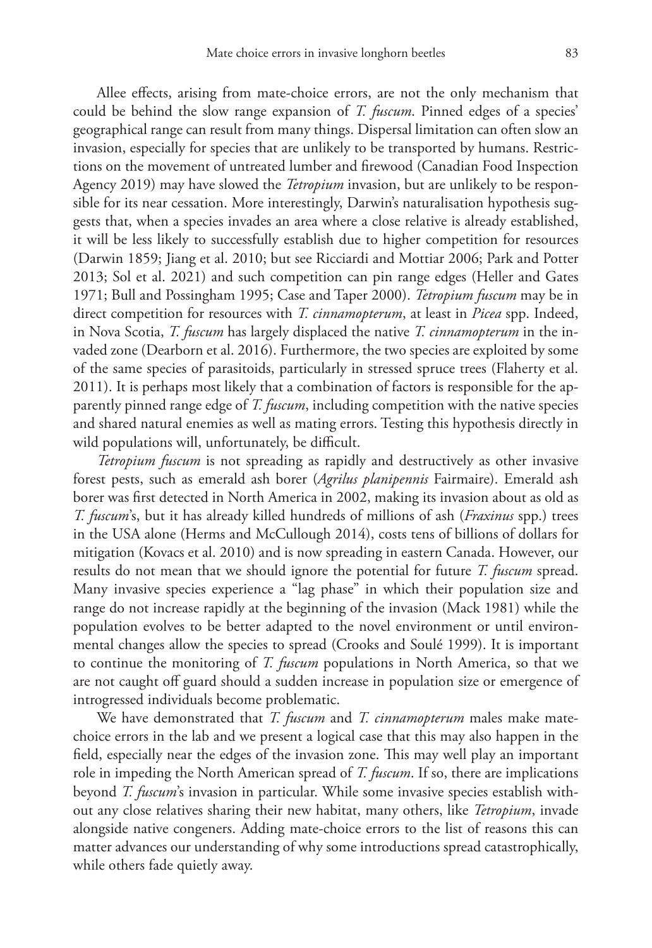Allee effects, arising from mate-choice errors, are not the only mechanism that could be behind the slow range expansion of *T. fuscum*. Pinned edges of a species' geographical range can result from many things. Dispersal limitation can often slow an invasion, especially for species that are unlikely to be transported by humans. Restrictions on the movement of untreated lumber and firewood (Canadian Food Inspection Agency 2019) may have slowed the *Tetropium* invasion, but are unlikely to be responsible for its near cessation. More interestingly, Darwin's naturalisation hypothesis suggests that, when a species invades an area where a close relative is already established, it will be less likely to successfully establish due to higher competition for resources (Darwin 1859; Jiang et al. 2010; but see Ricciardi and Mottiar 2006; Park and Potter 2013; Sol et al. 2021) and such competition can pin range edges (Heller and Gates 1971; Bull and Possingham 1995; Case and Taper 2000). *Tetropium fuscum* may be in direct competition for resources with *T. cinnamopterum*, at least in *Picea* spp. Indeed, in Nova Scotia, *T. fuscum* has largely displaced the native *T. cinnamopterum* in the invaded zone (Dearborn et al. 2016). Furthermore, the two species are exploited by some of the same species of parasitoids, particularly in stressed spruce trees (Flaherty et al. 2011). It is perhaps most likely that a combination of factors is responsible for the apparently pinned range edge of *T. fuscum*, including competition with the native species and shared natural enemies as well as mating errors. Testing this hypothesis directly in wild populations will, unfortunately, be difficult.

*Tetropium fuscum* is not spreading as rapidly and destructively as other invasive forest pests, such as emerald ash borer (*Agrilus planipennis* Fairmaire). Emerald ash borer was first detected in North America in 2002, making its invasion about as old as *T. fuscum*'s, but it has already killed hundreds of millions of ash (*Fraxinus* spp.) trees in the USA alone (Herms and McCullough 2014), costs tens of billions of dollars for mitigation (Kovacs et al. 2010) and is now spreading in eastern Canada. However, our results do not mean that we should ignore the potential for future *T. fuscum* spread. Many invasive species experience a "lag phase" in which their population size and range do not increase rapidly at the beginning of the invasion (Mack 1981) while the population evolves to be better adapted to the novel environment or until environmental changes allow the species to spread (Crooks and Soulé 1999). It is important to continue the monitoring of *T. fuscum* populations in North America, so that we are not caught off guard should a sudden increase in population size or emergence of introgressed individuals become problematic.

We have demonstrated that *T. fuscum* and *T. cinnamopterum* males make matechoice errors in the lab and we present a logical case that this may also happen in the field, especially near the edges of the invasion zone. This may well play an important role in impeding the North American spread of *T. fuscum*. If so, there are implications beyond *T. fuscum*'s invasion in particular. While some invasive species establish without any close relatives sharing their new habitat, many others, like *Tetropium*, invade alongside native congeners. Adding mate-choice errors to the list of reasons this can matter advances our understanding of why some introductions spread catastrophically, while others fade quietly away.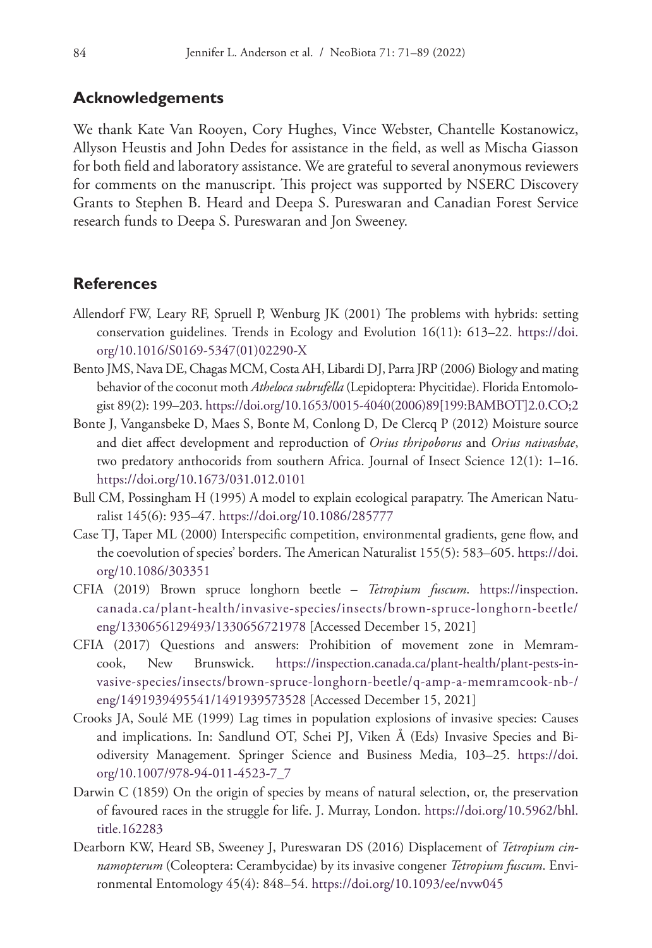## **Acknowledgements**

We thank Kate Van Rooyen, Cory Hughes, Vince Webster, Chantelle Kostanowicz, Allyson Heustis and John Dedes for assistance in the field, as well as Mischa Giasson for both field and laboratory assistance. We are grateful to several anonymous reviewers for comments on the manuscript. This project was supported by NSERC Discovery Grants to Stephen B. Heard and Deepa S. Pureswaran and Canadian Forest Service research funds to Deepa S. Pureswaran and Jon Sweeney.

## **References**

- Allendorf FW, Leary RF, Spruell P, Wenburg JK (2001) The problems with hybrids: setting conservation guidelines. Trends in Ecology and Evolution 16(11): 613–22. [https://doi.](https://doi.org/10.1016/S0169-5347(01)02290-X) [org/10.1016/S0169-5347\(01\)02290-X](https://doi.org/10.1016/S0169-5347(01)02290-X)
- Bento JMS, Nava DE, Chagas MCM, Costa AH, Libardi DJ, Parra JRP (2006) Biology and mating behavior of the coconut moth *Atheloca subrufella* (Lepidoptera: Phycitidae). Florida Entomologist 89(2): 199–203. [https://doi.org/10.1653/0015-4040\(2006\)89\[199:BAMBOT\]2.0.CO;2](https://doi.org/10.1653/0015-4040(2006)89%5B199:BAMBOT%5D2.0.CO;2)
- Bonte J, Vangansbeke D, Maes S, Bonte M, Conlong D, De Clercq P (2012) Moisture source and diet affect development and reproduction of *Orius thripoborus* and *Orius naivashae*, two predatory anthocorids from southern Africa. Journal of Insect Science 12(1): 1–16. <https://doi.org/10.1673/031.012.0101>
- Bull CM, Possingham H (1995) A model to explain ecological parapatry. The American Naturalist 145(6): 935–47.<https://doi.org/10.1086/285777>
- Case TJ, Taper ML (2000) Interspecific competition, environmental gradients, gene flow, and the coevolution of species' borders. The American Naturalist 155(5): 583–605. [https://doi.](https://doi.org/10.1086/303351) [org/10.1086/303351](https://doi.org/10.1086/303351)
- CFIA (2019) Brown spruce longhorn beetle *Tetropium fuscum*. [https://inspection.](https://inspection.canada.ca/plant-health/invasive-species/insects/brown-spruce-longhorn-beetle/eng/1330656129493/1330656721978) [canada.ca/plant-health/invasive-species/insects/brown-spruce-longhorn-beetle/](https://inspection.canada.ca/plant-health/invasive-species/insects/brown-spruce-longhorn-beetle/eng/1330656129493/1330656721978) [eng/1330656129493/1330656721978](https://inspection.canada.ca/plant-health/invasive-species/insects/brown-spruce-longhorn-beetle/eng/1330656129493/1330656721978) [Accessed December 15, 2021]
- CFIA (2017) Questions and answers: Prohibition of movement zone in Memramcook, New Brunswick. [https://inspection.canada.ca/plant-health/plant-pests-in](https://inspection.canada.ca/plant-health/plant-pests-invasive-species/insects/brown-spruce-longhorn-beetle/q-amp-a-memramcook-nb-/eng/1491939495541/1491939573528)[vasive-species/insects/brown-spruce-longhorn-beetle/q-amp-a-memramcook-nb-/](https://inspection.canada.ca/plant-health/plant-pests-invasive-species/insects/brown-spruce-longhorn-beetle/q-amp-a-memramcook-nb-/eng/1491939495541/1491939573528) [eng/1491939495541/1491939573528](https://inspection.canada.ca/plant-health/plant-pests-invasive-species/insects/brown-spruce-longhorn-beetle/q-amp-a-memramcook-nb-/eng/1491939495541/1491939573528) [Accessed December 15, 2021]
- Crooks JA, Soulé ME (1999) Lag times in population explosions of invasive species: Causes and implications. In: Sandlund OT, Schei PJ, Viken Å (Eds) Invasive Species and Biodiversity Management. Springer Science and Business Media, 103–25. [https://doi.](https://doi.org/10.1007/978-94-011-4523-7_7) [org/10.1007/978-94-011-4523-7\\_7](https://doi.org/10.1007/978-94-011-4523-7_7)
- Darwin C (1859) On the origin of species by means of natural selection, or, the preservation of favoured races in the struggle for life. J. Murray, London. [https://doi.org/10.5962/bhl.](https://doi.org/10.5962/bhl.title.162283) [title.162283](https://doi.org/10.5962/bhl.title.162283)
- Dearborn KW, Heard SB, Sweeney J, Pureswaran DS (2016) Displacement of *Tetropium cinnamopterum* (Coleoptera: Cerambycidae) by its invasive congener *Tetropium fuscum*. Environmental Entomology 45(4): 848–54. <https://doi.org/10.1093/ee/nvw045>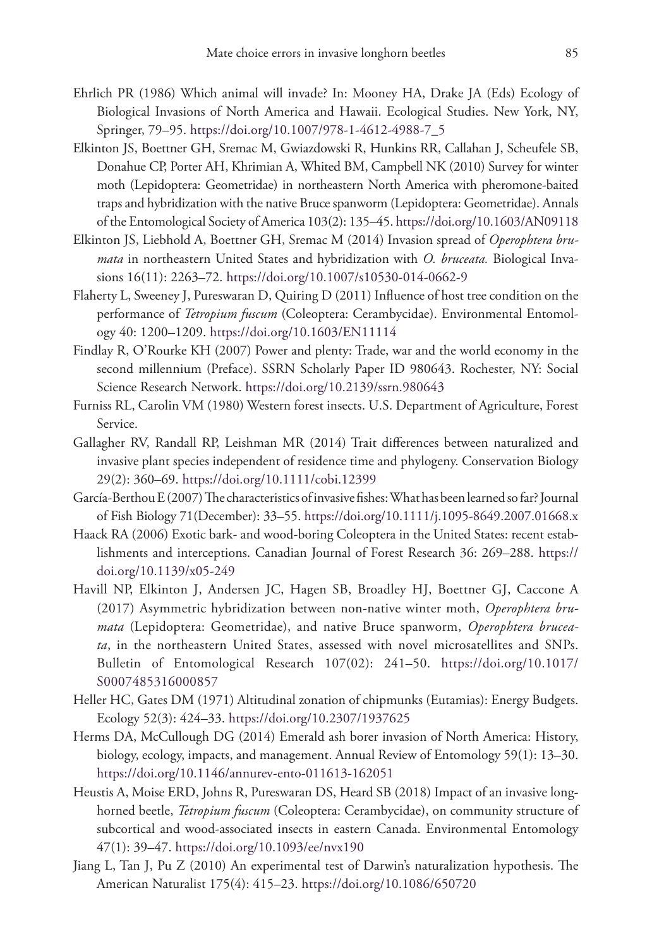- Ehrlich PR (1986) Which animal will invade? In: Mooney HA, Drake JA (Eds) Ecology of Biological Invasions of North America and Hawaii. Ecological Studies. New York, NY, Springer, 79–95. [https://doi.org/10.1007/978-1-4612-4988-7\\_5](https://doi.org/10.1007/978-1-4612-4988-7_5)
- Elkinton JS, Boettner GH, Sremac M, Gwiazdowski R, Hunkins RR, Callahan J, Scheufele SB, Donahue CP, Porter AH, Khrimian A, Whited BM, Campbell NK (2010) Survey for winter moth (Lepidoptera: Geometridae) in northeastern North America with pheromone-baited traps and hybridization with the native Bruce spanworm (Lepidoptera: Geometridae). Annals of the Entomological Society of America 103(2): 135–45.<https://doi.org/10.1603/AN09118>
- Elkinton JS, Liebhold A, Boettner GH, Sremac M (2014) Invasion spread of *Operophtera brumata* in northeastern United States and hybridization with *O. bruceata.* Biological Invasions 16(11): 2263–72.<https://doi.org/10.1007/s10530-014-0662-9>
- Flaherty L, Sweeney J, Pureswaran D, Quiring D (2011) Influence of host tree condition on the performance of *Tetropium fuscum* (Coleoptera: Cerambycidae). Environmental Entomology 40: 1200–1209. <https://doi.org/10.1603/EN11114>
- Findlay R, O'Rourke KH (2007) Power and plenty: Trade, war and the world economy in the second millennium (Preface). SSRN Scholarly Paper ID 980643. Rochester, NY: Social Science Research Network.<https://doi.org/10.2139/ssrn.980643>
- Furniss RL, Carolin VM (1980) Western forest insects. U.S. Department of Agriculture, Forest Service.
- Gallagher RV, Randall RP, Leishman MR (2014) Trait differences between naturalized and invasive plant species independent of residence time and phylogeny. Conservation Biology 29(2): 360–69. <https://doi.org/10.1111/cobi.12399>
- García-Berthou E (2007) The characteristics of invasive fishes: What has been learned so far? Journal of Fish Biology 71(December): 33–55.<https://doi.org/10.1111/j.1095-8649.2007.01668.x>
- Haack RA (2006) Exotic bark- and wood-boring Coleoptera in the United States: recent establishments and interceptions. Canadian Journal of Forest Research 36: 269–288. [https://](https://doi.org/10.1139/x05-249) [doi.org/10.1139/x05-249](https://doi.org/10.1139/x05-249)
- Havill NP, Elkinton J, Andersen JC, Hagen SB, Broadley HJ, Boettner GJ, Caccone A (2017) Asymmetric hybridization between non-native winter moth, *Operophtera brumata* (Lepidoptera: Geometridae), and native Bruce spanworm, *Operophtera bruceata*, in the northeastern United States, assessed with novel microsatellites and SNPs. Bulletin of Entomological Research 107(02): 241–50. [https://doi.org/10.1017/](https://doi.org/10.1017/S0007485316000857) [S0007485316000857](https://doi.org/10.1017/S0007485316000857)
- Heller HC, Gates DM (1971) Altitudinal zonation of chipmunks (Eutamias): Energy Budgets. Ecology 52(3): 424–33.<https://doi.org/10.2307/1937625>
- Herms DA, McCullough DG (2014) Emerald ash borer invasion of North America: History, biology, ecology, impacts, and management. Annual Review of Entomology 59(1): 13–30. <https://doi.org/10.1146/annurev-ento-011613-162051>
- Heustis A, Moise ERD, Johns R, Pureswaran DS, Heard SB (2018) Impact of an invasive longhorned beetle, *Tetropium fuscum* (Coleoptera: Cerambycidae), on community structure of subcortical and wood-associated insects in eastern Canada. Environmental Entomology 47(1): 39–47. <https://doi.org/10.1093/ee/nvx190>
- Jiang L, Tan J, Pu Z (2010) An experimental test of Darwin's naturalization hypothesis. The American Naturalist 175(4): 415–23. <https://doi.org/10.1086/650720>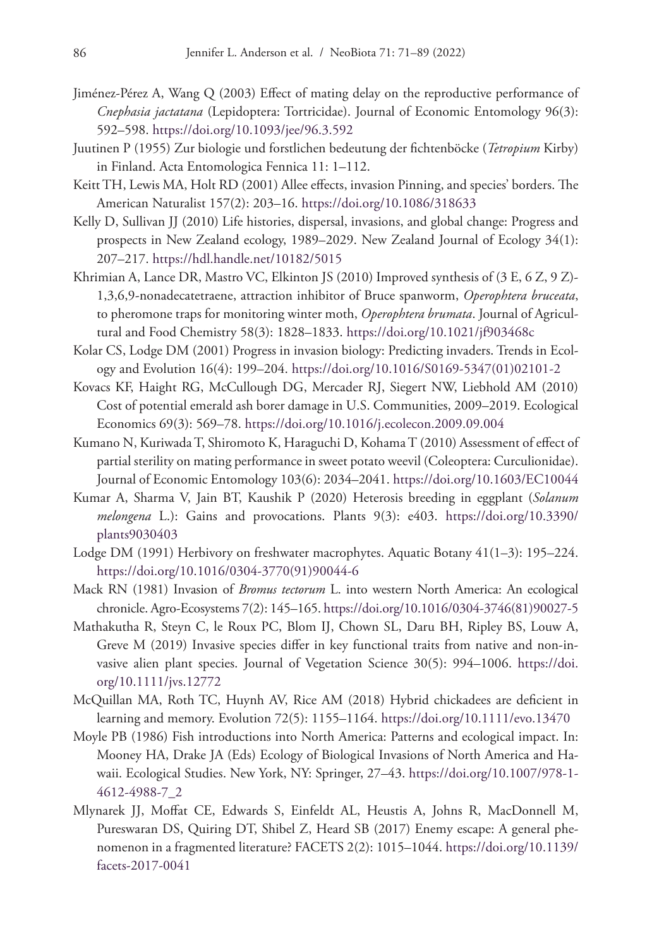- Jiménez-Pérez A, Wang Q (2003) Effect of mating delay on the reproductive performance of *Cnephasia jactatana* (Lepidoptera: Tortricidae). Journal of Economic Entomology 96(3): 592–598.<https://doi.org/10.1093/jee/96.3.592>
- Juutinen P (1955) Zur biologie und forstlichen bedeutung der fichtenböcke (*Tetropium* Kirby) in Finland. Acta Entomologica Fennica 11: 1–112.
- Keitt TH, Lewis MA, Holt RD (2001) Allee effects, invasion Pinning, and species' borders. The American Naturalist 157(2): 203–16. <https://doi.org/10.1086/318633>
- Kelly D, Sullivan JJ (2010) Life histories, dispersal, invasions, and global change: Progress and prospects in New Zealand ecology, 1989–2029. New Zealand Journal of Ecology 34(1): 207–217.<https://hdl.handle.net/10182/5015>
- Khrimian A, Lance DR, Mastro VC, Elkinton JS (2010) Improved synthesis of (3 E, 6 Z, 9 Z)- 1,3,6,9-nonadecatetraene, attraction inhibitor of Bruce spanworm, *Operophtera bruceata*, to pheromone traps for monitoring winter moth, *Operophtera brumata*. Journal of Agricultural and Food Chemistry 58(3): 1828–1833. <https://doi.org/10.1021/jf903468c>
- Kolar CS, Lodge DM (2001) Progress in invasion biology: Predicting invaders. Trends in Ecology and Evolution 16(4): 199–204. [https://doi.org/10.1016/S0169-5347\(01\)02101-2](https://doi.org/10.1016/S0169-5347(01)02101-2)
- Kovacs KF, Haight RG, McCullough DG, Mercader RJ, Siegert NW, Liebhold AM (2010) Cost of potential emerald ash borer damage in U.S. Communities, 2009–2019. Ecological Economics 69(3): 569–78. <https://doi.org/10.1016/j.ecolecon.2009.09.004>
- Kumano N, Kuriwada T, Shiromoto K, Haraguchi D, Kohama T (2010) Assessment of effect of partial sterility on mating performance in sweet potato weevil (Coleoptera: Curculionidae). Journal of Economic Entomology 103(6): 2034–2041.<https://doi.org/10.1603/EC10044>
- Kumar A, Sharma V, Jain BT, Kaushik P (2020) Heterosis breeding in eggplant (*Solanum melongena* L.): Gains and provocations. Plants 9(3): e403. [https://doi.org/10.3390/](https://doi.org/10.3390/plants9030403) [plants9030403](https://doi.org/10.3390/plants9030403)
- Lodge DM (1991) Herbivory on freshwater macrophytes. Aquatic Botany 41(1–3): 195–224. [https://doi.org/10.1016/0304-3770\(91\)90044-6](https://doi.org/10.1016/0304-3770(91)90044-6)
- Mack RN (1981) Invasion of *Bromus tectorum* L. into western North America: An ecological chronicle. Agro-Ecosystems 7(2): 145–165. [https://doi.org/10.1016/0304-3746\(81\)90027-5](https://doi.org/10.1016/0304-3746(81)90027-5)
- Mathakutha R, Steyn C, le Roux PC, Blom IJ, Chown SL, Daru BH, Ripley BS, Louw A, Greve M (2019) Invasive species differ in key functional traits from native and non-invasive alien plant species. Journal of Vegetation Science 30(5): 994–1006. [https://doi.](https://doi.org/10.1111/jvs.12772) [org/10.1111/jvs.12772](https://doi.org/10.1111/jvs.12772)
- McQuillan MA, Roth TC, Huynh AV, Rice AM (2018) Hybrid chickadees are deficient in learning and memory. Evolution 72(5): 1155–1164. <https://doi.org/10.1111/evo.13470>
- Moyle PB (1986) Fish introductions into North America: Patterns and ecological impact. In: Mooney HA, Drake JA (Eds) Ecology of Biological Invasions of North America and Hawaii. Ecological Studies. New York, NY: Springer, 27–43. [https://doi.org/10.1007/978-1-](https://doi.org/10.1007/978-1-4612-4988-7_2) [4612-4988-7\\_2](https://doi.org/10.1007/978-1-4612-4988-7_2)
- Mlynarek JJ, Moffat CE, Edwards S, Einfeldt AL, Heustis A, Johns R, MacDonnell M, Pureswaran DS, Quiring DT, Shibel Z, Heard SB (2017) Enemy escape: A general phenomenon in a fragmented literature? FACETS 2(2): 1015–1044. [https://doi.org/10.1139/](https://doi.org/10.1139/facets-2017-0041) [facets-2017-0041](https://doi.org/10.1139/facets-2017-0041)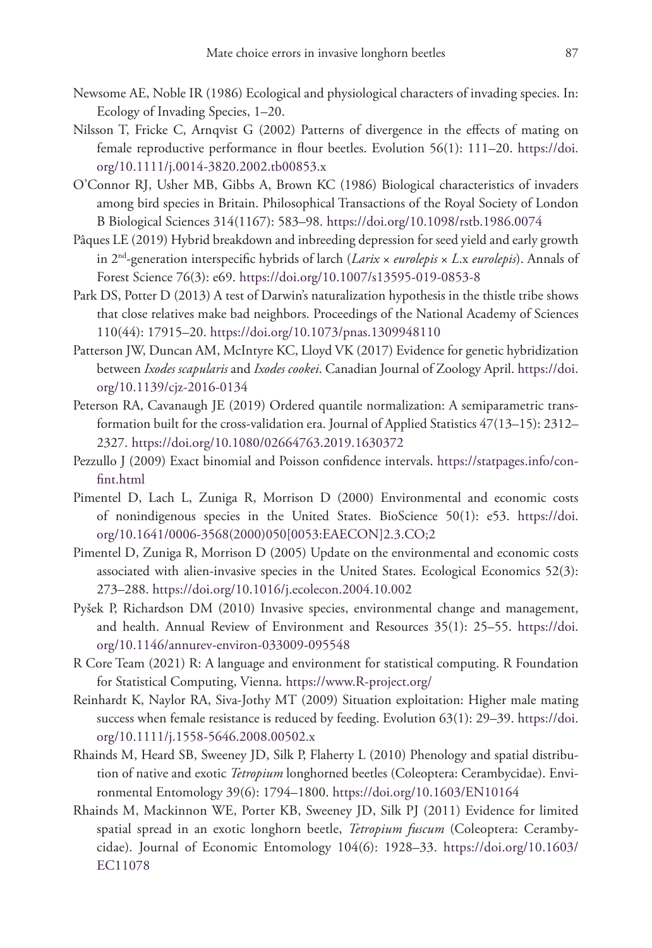- Newsome AE, Noble IR (1986) Ecological and physiological characters of invading species. In: Ecology of Invading Species, 1–20.
- Nilsson T, Fricke C, Arnqvist G (2002) Patterns of divergence in the effects of mating on female reproductive performance in flour beetles. Evolution 56(1): 111–20. [https://doi.](https://doi.org/10.1111/j.0014-3820.2002.tb00853.x) [org/10.1111/j.0014-3820.2002.tb00853.x](https://doi.org/10.1111/j.0014-3820.2002.tb00853.x)
- O'Connor RJ, Usher MB, Gibbs A, Brown KC (1986) Biological characteristics of invaders among bird species in Britain. Philosophical Transactions of the Royal Society of London B Biological Sciences 314(1167): 583–98.<https://doi.org/10.1098/rstb.1986.0074>
- Pâques LE (2019) Hybrid breakdown and inbreeding depression for seed yield and early growth in 2nd-generation interspecific hybrids of larch (*Larix* × *eurolepis* × *L*.x *eurolepis*). Annals of Forest Science 76(3): e69. <https://doi.org/10.1007/s13595-019-0853-8>
- Park DS, Potter D (2013) A test of Darwin's naturalization hypothesis in the thistle tribe shows that close relatives make bad neighbors. Proceedings of the National Academy of Sciences 110(44): 17915–20. <https://doi.org/10.1073/pnas.1309948110>
- Patterson JW, Duncan AM, McIntyre KC, Lloyd VK (2017) Evidence for genetic hybridization between *Ixodes scapularis* and *Ixodes cookei*. Canadian Journal of Zoology April. [https://doi.](https://doi.org/10.1139/cjz-2016-0134) [org/10.1139/cjz-2016-0134](https://doi.org/10.1139/cjz-2016-0134)
- Peterson RA, Cavanaugh JE (2019) Ordered quantile normalization: A semiparametric transformation built for the cross-validation era. Journal of Applied Statistics 47(13–15): 2312– 2327.<https://doi.org/10.1080/02664763.2019.1630372>
- Pezzullo J (2009) Exact binomial and Poisson confidence intervals. [https://statpages.info/con](https://statpages.info/confint.html)[fint.html](https://statpages.info/confint.html)
- Pimentel D, Lach L, Zuniga R, Morrison D (2000) Environmental and economic costs of nonindigenous species in the United States. BioScience 50(1): e53. [https://doi.](https://doi.org/10.1641/0006-3568(2000)050%5B0053:EAECON%5D2.3.CO;2) [org/10.1641/0006-3568\(2000\)050\[0053:EAECON\]2.3.CO;2](https://doi.org/10.1641/0006-3568(2000)050%5B0053:EAECON%5D2.3.CO;2)
- Pimentel D, Zuniga R, Morrison D (2005) Update on the environmental and economic costs associated with alien-invasive species in the United States. Ecological Economics 52(3): 273–288.<https://doi.org/10.1016/j.ecolecon.2004.10.002>
- Pyšek P, Richardson DM (2010) Invasive species, environmental change and management, and health. Annual Review of Environment and Resources 35(1): 25–55. [https://doi.](https://doi.org/10.1146/annurev-environ-033009-095548) [org/10.1146/annurev-environ-033009-095548](https://doi.org/10.1146/annurev-environ-033009-095548)
- R Core Team (2021) R: A language and environment for statistical computing. R Foundation for Statistical Computing, Vienna.<https://www.R-project.org/>
- Reinhardt K, Naylor RA, Siva-Jothy MT (2009) Situation exploitation: Higher male mating success when female resistance is reduced by feeding. Evolution 63(1): 29–39. [https://doi.](https://doi.org/10.1111/j.1558-5646.2008.00502.x) [org/10.1111/j.1558-5646.2008.00502.x](https://doi.org/10.1111/j.1558-5646.2008.00502.x)
- Rhainds M, Heard SB, Sweeney JD, Silk P, Flaherty L (2010) Phenology and spatial distribution of native and exotic *Tetropium* longhorned beetles (Coleoptera: Cerambycidae). Environmental Entomology 39(6): 1794–1800. <https://doi.org/10.1603/EN10164>
- Rhainds M, Mackinnon WE, Porter KB, Sweeney JD, Silk PJ (2011) Evidence for limited spatial spread in an exotic longhorn beetle, *Tetropium fuscum* (Coleoptera: Cerambycidae). Journal of Economic Entomology 104(6): 1928–33. [https://doi.org/10.1603/](https://doi.org/10.1603/EC11078) [EC11078](https://doi.org/10.1603/EC11078)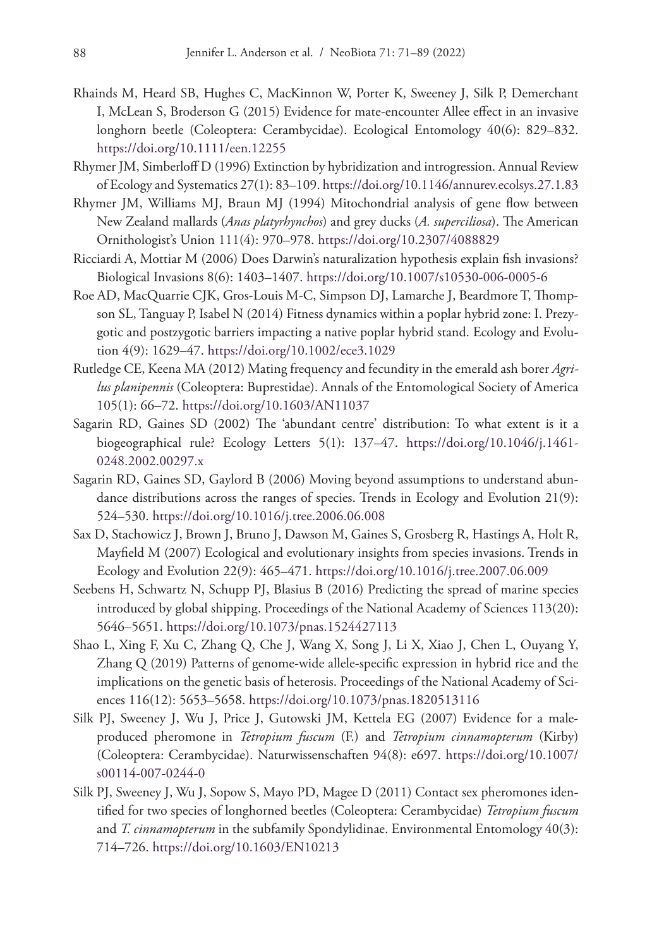- Rhainds M, Heard SB, Hughes C, MacKinnon W, Porter K, Sweeney J, Silk P, Demerchant I, McLean S, Broderson G (2015) Evidence for mate-encounter Allee effect in an invasive longhorn beetle (Coleoptera: Cerambycidae). Ecological Entomology 40(6): 829–832. <https://doi.org/10.1111/een.12255>
- Rhymer JM, Simberloff D (1996) Extinction by hybridization and introgression. Annual Review of Ecology and Systematics 27(1): 83–109.<https://doi.org/10.1146/annurev.ecolsys.27.1.83>
- Rhymer JM, Williams MJ, Braun MJ (1994) Mitochondrial analysis of gene flow between New Zealand mallards (*Anas platyrhynchos*) and grey ducks (*A. superciliosa*). The American Ornithologist's Union 111(4): 970–978.<https://doi.org/10.2307/4088829>
- Ricciardi A, Mottiar M (2006) Does Darwin's naturalization hypothesis explain fish invasions? Biological Invasions 8(6): 1403–1407.<https://doi.org/10.1007/s10530-006-0005-6>
- Roe AD, MacQuarrie CJK, Gros‐Louis M-C, Simpson DJ, Lamarche J, Beardmore T, Thompson SL, Tanguay P, Isabel N (2014) Fitness dynamics within a poplar hybrid zone: I. Prezygotic and postzygotic barriers impacting a native poplar hybrid stand. Ecology and Evolution 4(9): 1629–47.<https://doi.org/10.1002/ece3.1029>
- Rutledge CE, Keena MA (2012) Mating frequency and fecundity in the emerald ash borer *Agrilus planipennis* (Coleoptera: Buprestidae). Annals of the Entomological Society of America 105(1): 66–72. <https://doi.org/10.1603/AN11037>
- Sagarin RD, Gaines SD (2002) The 'abundant centre' distribution: To what extent is it a biogeographical rule? Ecology Letters 5(1): 137–47. [https://doi.org/10.1046/j.1461-](https://doi.org/10.1046/j.1461-0248.2002.00297.x) [0248.2002.00297.x](https://doi.org/10.1046/j.1461-0248.2002.00297.x)
- Sagarin RD, Gaines SD, Gaylord B (2006) Moving beyond assumptions to understand abundance distributions across the ranges of species. Trends in Ecology and Evolution 21(9): 524–530.<https://doi.org/10.1016/j.tree.2006.06.008>
- Sax D, Stachowicz J, Brown J, Bruno J, Dawson M, Gaines S, Grosberg R, Hastings A, Holt R, Mayfield M (2007) Ecological and evolutionary insights from species invasions. Trends in Ecology and Evolution 22(9): 465–471. <https://doi.org/10.1016/j.tree.2007.06.009>
- Seebens H, Schwartz N, Schupp PJ, Blasius B (2016) Predicting the spread of marine species introduced by global shipping. Proceedings of the National Academy of Sciences 113(20): 5646–5651.<https://doi.org/10.1073/pnas.1524427113>
- Shao L, Xing F, Xu C, Zhang Q, Che J, Wang X, Song J, Li X, Xiao J, Chen L, Ouyang Y, Zhang Q (2019) Patterns of genome-wide allele-specific expression in hybrid rice and the implications on the genetic basis of heterosis. Proceedings of the National Academy of Sciences 116(12): 5653–5658. <https://doi.org/10.1073/pnas.1820513116>
- Silk PJ, Sweeney J, Wu J, Price J, Gutowski JM, Kettela EG (2007) Evidence for a maleproduced pheromone in *Tetropium fuscum* (F.) and *Tetropium cinnamopterum* (Kirby) (Coleoptera: Cerambycidae). Naturwissenschaften 94(8): e697. [https://doi.org/10.1007/](https://doi.org/10.1007/s00114-007-0244-0) [s00114-007-0244-0](https://doi.org/10.1007/s00114-007-0244-0)
- Silk PJ, Sweeney J, Wu J, Sopow S, Mayo PD, Magee D (2011) Contact sex pheromones identified for two species of longhorned beetles (Coleoptera: Cerambycidae) *Tetropium fuscum* and *T. cinnamopterum* in the subfamily Spondylidinae. Environmental Entomology 40(3): 714–726.<https://doi.org/10.1603/EN10213>